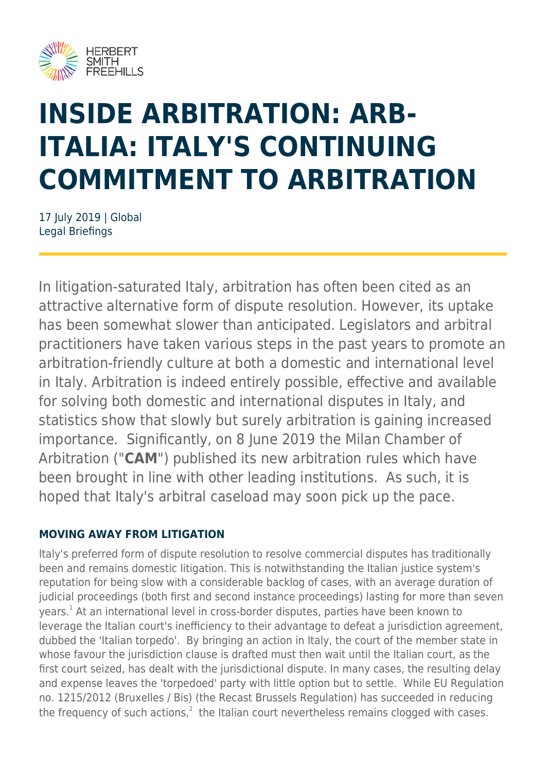

# **INSIDE ARBITRATION: ARB-ITALIA: ITALY'S CONTINUING COMMITMENT TO ARBITRATION**

17 July 2019 | Global Legal Briefings

In litigation-saturated Italy, arbitration has often been cited as an attractive alternative form of dispute resolution. However, its uptake has been somewhat slower than anticipated. Legislators and arbitral practitioners have taken various steps in the past years to promote an arbitration-friendly culture at both a domestic and international level in Italy. Arbitration is indeed entirely possible, effective and available for solving both domestic and international disputes in Italy, and statistics show that slowly but surely arbitration is gaining increased importance. Significantly, on 8 June 2019 the Milan Chamber of Arbitration ("**CAM**") published its new arbitration rules which have been brought in line with other leading institutions. As such, it is hoped that Italy's arbitral caseload may soon pick up the pace.

## **MOVING AWAY FROM LITIGATION**

Italy's preferred form of dispute resolution to resolve commercial disputes has traditionally been and remains domestic litigation. This is notwithstanding the Italian justice system's reputation for being slow with a considerable backlog of cases, with an average duration of judicial proceedings (both first and second instance proceedings) lasting for more than seven years.<sup>1</sup> At an international level in cross-border disputes, parties have been known to leverage the Italian court's inefficiency to their advantage to defeat a jurisdiction agreement, dubbed the 'Italian torpedo'. By bringing an action in Italy, the court of the member state in whose favour the jurisdiction clause is drafted must then wait until the Italian court, as the first court seized, has dealt with the jurisdictional dispute. In many cases, the resulting delay and expense leaves the 'torpedoed' party with little option but to settle. While EU Regulation no. 1215/2012 (Bruxelles / Bis) (the Recast Brussels Regulation) has succeeded in reducing the frequency of such actions, $^2$  the Italian court nevertheless remains clogged with cases.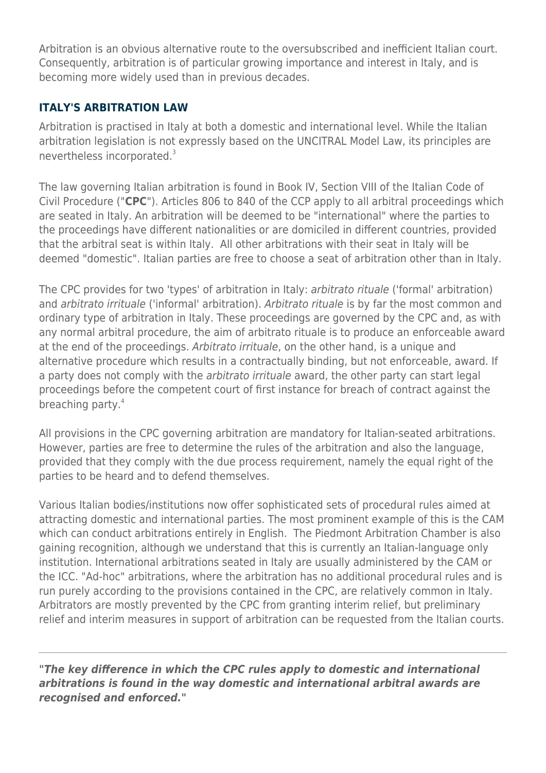Arbitration is an obvious alternative route to the oversubscribed and inefficient Italian court. Consequently, arbitration is of particular growing importance and interest in Italy, and is becoming more widely used than in previous decades.

### **ITALY'S ARBITRATION LAW**

Arbitration is practised in Italy at both a domestic and international level. While the Italian arbitration legislation is not expressly based on the UNCITRAL Model Law, its principles are nevertheless incorporated.<sup>3</sup>

The law governing Italian arbitration is found in Book IV, Section VIII of the Italian Code of Civil Procedure ("**CPC**"). Articles 806 to 840 of the CCP apply to all arbitral proceedings which are seated in Italy. An arbitration will be deemed to be "international" where the parties to the proceedings have different nationalities or are domiciled in different countries, provided that the arbitral seat is within Italy. All other arbitrations with their seat in Italy will be deemed "domestic". Italian parties are free to choose a seat of arbitration other than in Italy.

The CPC provides for two 'types' of arbitration in Italy: arbitrato rituale ('formal' arbitration) and arbitrato irrituale ('informal' arbitration). Arbitrato rituale is by far the most common and ordinary type of arbitration in Italy. These proceedings are governed by the CPC and, as with any normal arbitral procedure, the aim of arbitrato rituale is to produce an enforceable award at the end of the proceedings. Arbitrato irrituale, on the other hand, is a unique and alternative procedure which results in a contractually binding, but not enforceable, award. If a party does not comply with the *arbitrato irrituale* award, the other party can start legal proceedings before the competent court of first instance for breach of contract against the breaching party.<sup>4</sup>

All provisions in the CPC governing arbitration are mandatory for Italian-seated arbitrations. However, parties are free to determine the rules of the arbitration and also the language, provided that they comply with the due process requirement, namely the equal right of the parties to be heard and to defend themselves.

Various Italian bodies/institutions now offer sophisticated sets of procedural rules aimed at attracting domestic and international parties. The most prominent example of this is the CAM which can conduct arbitrations entirely in English. The Piedmont Arbitration Chamber is also gaining recognition, although we understand that this is currently an Italian-language only institution. International arbitrations seated in Italy are usually administered by the CAM or the ICC. "Ad-hoc" arbitrations, where the arbitration has no additional procedural rules and is run purely according to the provisions contained in the CPC, are relatively common in Italy. Arbitrators are mostly prevented by the CPC from granting interim relief, but preliminary relief and interim measures in support of arbitration can be requested from the Italian courts.

*"The key difference in which the CPC rules apply to domestic and international arbitrations is found in the way domestic and international arbitral awards are recognised and enforced."*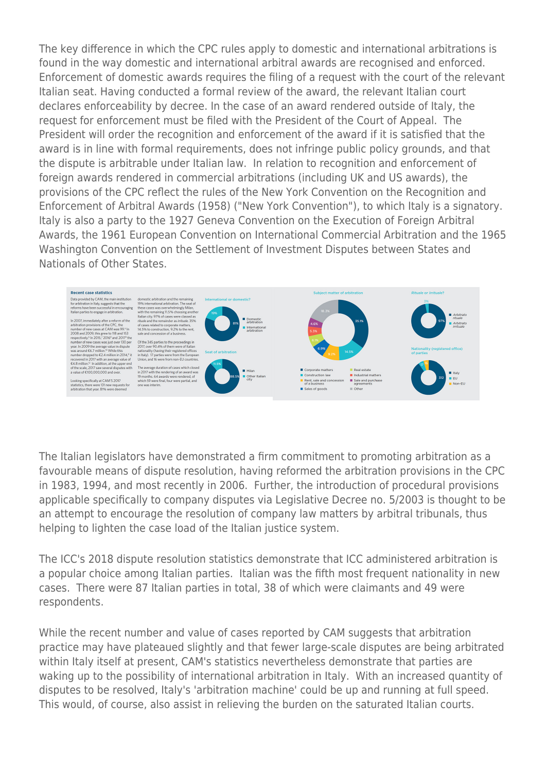The key difference in which the CPC rules apply to domestic and international arbitrations is found in the way domestic and international arbitral awards are recognised and enforced. Enforcement of domestic awards requires the filing of a request with the court of the relevant Italian seat. Having conducted a formal review of the award, the relevant Italian court declares enforceability by decree. In the case of an award rendered outside of Italy, the request for enforcement must be filed with the President of the Court of Appeal. The President will order the recognition and enforcement of the award if it is satisfied that the award is in line with formal requirements, does not infringe public policy grounds, and that the dispute is arbitrable under Italian law. In relation to recognition and enforcement of foreign awards rendered in commercial arbitrations (including UK and US awards), the provisions of the CPC reflect the rules of the New York Convention on the Recognition and Enforcement of Arbitral Awards (1958) ("New York Convention"), to which Italy is a signatory. Italy is also a party to the 1927 Geneva Convention on the Execution of Foreign Arbitral Awards, the 1961 European Convention on International Commercial Arbitration and the 1965 Washington Convention on the Settlement of Investment Disputes between States and Nationals of Other States.



The Italian legislators have demonstrated a firm commitment to promoting arbitration as a favourable means of dispute resolution, having reformed the arbitration provisions in the CPC in 1983, 1994, and most recently in 2006. Further, the introduction of procedural provisions applicable specifically to company disputes via Legislative Decree no. 5/2003 is thought to be an attempt to encourage the resolution of company law matters by arbitral tribunals, thus helping to lighten the case load of the Italian justice system.

The ICC's 2018 dispute resolution statistics demonstrate that ICC administered arbitration is a popular choice among Italian parties. Italian was the fifth most frequent nationality in new cases. There were 87 Italian parties in total, 38 of which were claimants and 49 were respondents.

While the recent number and value of cases reported by CAM suggests that arbitration practice may have plateaued slightly and that fewer large-scale disputes are being arbitrated within Italy itself at present, CAM's statistics nevertheless demonstrate that parties are waking up to the possibility of international arbitration in Italy. With an increased quantity of disputes to be resolved, Italy's 'arbitration machine' could be up and running at full speed. This would, of course, also assist in relieving the burden on the saturated Italian courts.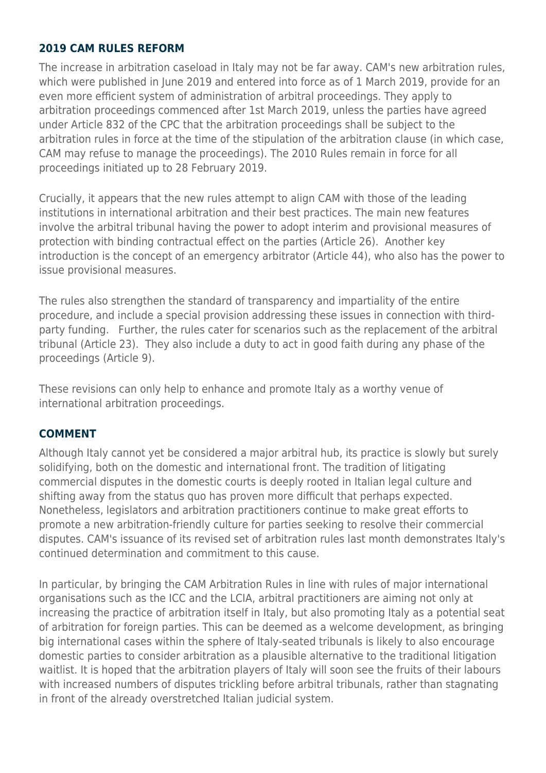#### **2019 CAM RULES REFORM**

The increase in arbitration caseload in Italy may not be far away. CAM's new arbitration rules, which were published in June 2019 and entered into force as of 1 March 2019, provide for an even more efficient system of administration of arbitral proceedings. They apply to arbitration proceedings commenced after 1st March 2019, unless the parties have agreed under Article 832 of the CPC that the arbitration proceedings shall be subject to the arbitration rules in force at the time of the stipulation of the arbitration clause (in which case, CAM may refuse to manage the proceedings). The 2010 Rules remain in force for all proceedings initiated up to 28 February 2019.

Crucially, it appears that the new rules attempt to align CAM with those of the leading institutions in international arbitration and their best practices. The main new features involve the arbitral tribunal having the power to adopt interim and provisional measures of protection with binding contractual effect on the parties (Article 26). Another key introduction is the concept of an emergency arbitrator (Article 44), who also has the power to issue provisional measures.

The rules also strengthen the standard of transparency and impartiality of the entire procedure, and include a special provision addressing these issues in connection with thirdparty funding. Further, the rules cater for scenarios such as the replacement of the arbitral tribunal (Article 23). They also include a duty to act in good faith during any phase of the proceedings (Article 9).

These revisions can only help to enhance and promote Italy as a worthy venue of international arbitration proceedings.

#### **COMMENT**

Although Italy cannot yet be considered a major arbitral hub, its practice is slowly but surely solidifying, both on the domestic and international front. The tradition of litigating commercial disputes in the domestic courts is deeply rooted in Italian legal culture and shifting away from the status quo has proven more difficult that perhaps expected. Nonetheless, legislators and arbitration practitioners continue to make great efforts to promote a new arbitration-friendly culture for parties seeking to resolve their commercial disputes. CAM's issuance of its revised set of arbitration rules last month demonstrates Italy's continued determination and commitment to this cause.

In particular, by bringing the CAM Arbitration Rules in line with rules of major international organisations such as the ICC and the LCIA, arbitral practitioners are aiming not only at increasing the practice of arbitration itself in Italy, but also promoting Italy as a potential seat of arbitration for foreign parties. This can be deemed as a welcome development, as bringing big international cases within the sphere of Italy-seated tribunals is likely to also encourage domestic parties to consider arbitration as a plausible alternative to the traditional litigation waitlist. It is hoped that the arbitration players of Italy will soon see the fruits of their labours with increased numbers of disputes trickling before arbitral tribunals, rather than stagnating in front of the already overstretched Italian judicial system.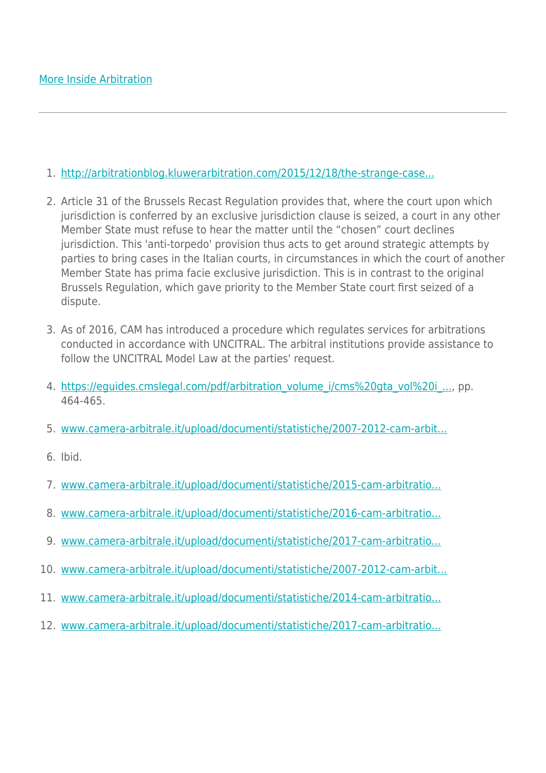#### 1. [http://arbitrationblog.kluwerarbitration.com/2015/12/18/the-strange-case...](http://arbitrationblog.kluwerarbitration.com/2015/12/18/the-strange-case-of-italy-and-its-distrust-of-international-arbitration/ )

- 2. Article 31 of the Brussels Recast Regulation provides that, where the court upon which jurisdiction is conferred by an exclusive jurisdiction clause is seized, a court in any other Member State must refuse to hear the matter until the "chosen" court declines jurisdiction. This 'anti-torpedo' provision thus acts to get around strategic attempts by parties to bring cases in the Italian courts, in circumstances in which the court of another Member State has prima facie exclusive jurisdiction. This is in contrast to the original Brussels Regulation, which gave priority to the Member State court first seized of a dispute.
- 3. As of 2016, CAM has introduced a procedure which regulates services for arbitrations conducted in accordance with UNCITRAL. The arbitral institutions provide assistance to follow the UNCITRAL Model Law at the parties' request.
- 4. https://equides.cmslegal.com/pdf/arbitration\_volume\_i/cms%20gta\_vol%20i\_..., pp. 464-465.
- 5. [www.camera-arbitrale.it/upload/documenti/statistiche/2007-2012-cam-arbit...](http://www.camera-arbitrale.it/upload/documenti/statistiche/2007-2012-cam-arbitration_facts-figures.pdf )
- 6. Ibid.
- 7. [www.camera-arbitrale.it/upload/documenti/statistiche/2015-cam-arbitratio...](http://www.camera-arbitrale.it/upload/documenti/statistiche/2015-cam-arbitration-facts-figures.pdf )
- 8. [www.camera-arbitrale.it/upload/documenti/statistiche/2016-cam-arbitratio...](http://www.camera-arbitrale.it/upload/documenti/statistiche/2016-cam-arbitration-facts-figures.pdf )
- 9. [www.camera-arbitrale.it/upload/documenti/statistiche/2017-cam-arbitratio...](http://www.camera-arbitrale.it/upload/documenti/statistiche/2017-cam-arbitration-facts-figures.pdf )
- 10. [www.camera-arbitrale.it/upload/documenti/statistiche/2007-2012-cam-arbit...](http://www.camera-arbitrale.it/upload/documenti/statistiche/2007-2012-cam-arbitration_facts-figures.pdf )
- 11. [www.camera-arbitrale.it/upload/documenti/statistiche/2014-cam-arbitratio...](http://www.camera-arbitrale.it/upload/documenti/statistiche/2014-cam-arbitration-facts-figures.pdf )
- 12. [www.camera-arbitrale.it/upload/documenti/statistiche/2017-cam-arbitratio...](http://www.camera-arbitrale.it/upload/documenti/statistiche/2017-cam-arbitration-facts-figures.pdf )